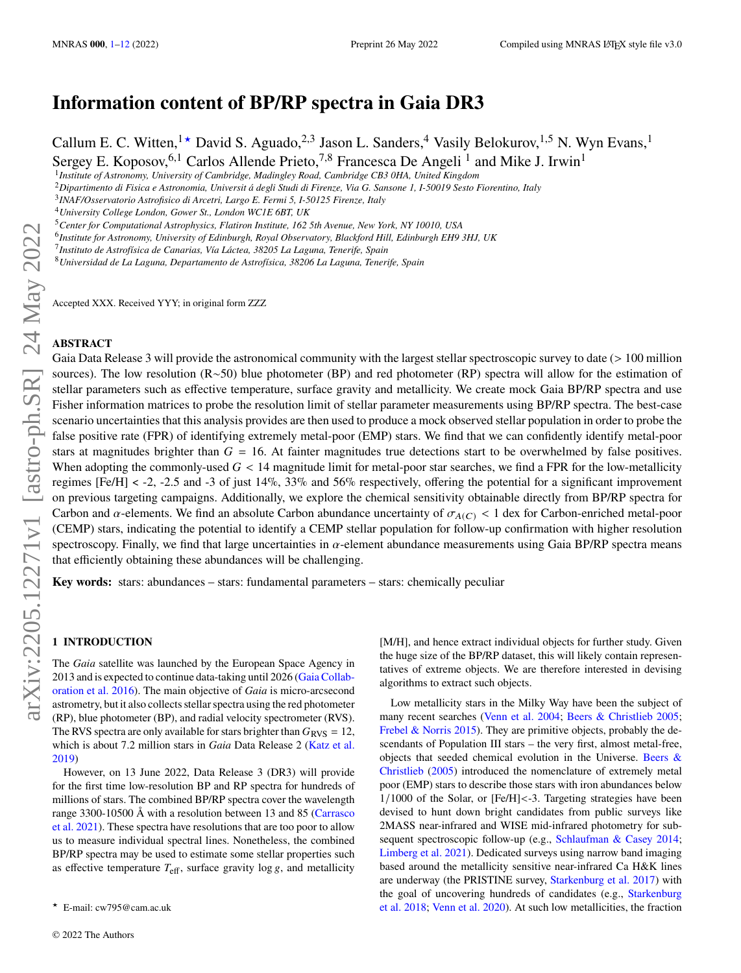# **Information content of BP/RP spectra in Gaia DR3**

Callum E. C. Witten,  $1\star$  David S. Aguado,  $2.3$  Jason L. Sanders,  $4$  Vasily Belokurov,  $1.5$  N. Wyn Evans,  $1\star$ Sergey E. Koposov, <sup>6,1</sup> Carlos Allende Prieto, <sup>7,8</sup> Francesca De Angeli<sup>1</sup> and Mike J. Irwin<sup>1</sup>

1 *Institute of Astronomy, University of Cambridge, Madingley Road, Cambridge CB3 0HA, United Kingdom*

<sup>2</sup>*Dipartimento di Fisica e Astronomia, Universit á degli Studi di Firenze, Via G. Sansone 1, I-50019 Sesto Fiorentino, Italy*

<sup>4</sup>*University College London, Gower St., London WC1E 6BT, UK*

<sup>5</sup>*Center for Computational Astrophysics, Flatiron Institute, 162 5th Avenue, New York, NY 10010, USA*

6 *Institute for Astronomy, University of Edinburgh, Royal Observatory, Blackford Hill, Edinburgh EH9 3HJ, UK*

7 *Instituto de Astrofísica de Canarias, Vía Láctea, 38205 La Laguna, Tenerife, Spain*

<sup>8</sup>*Universidad de La Laguna, Departamento de Astrofísica, 38206 La Laguna, Tenerife, Spain*

Accepted XXX. Received YYY; in original form ZZZ

# **ABSTRACT**

Gaia Data Release 3 will provide the astronomical community with the largest stellar spectroscopic survey to date (> 100 million sources). The low resolution (R∼50) blue photometer (BP) and red photometer (RP) spectra will allow for the estimation of stellar parameters such as effective temperature, surface gravity and metallicity. We create mock Gaia BP/RP spectra and use Fisher information matrices to probe the resolution limit of stellar parameter measurements using BP/RP spectra. The best-case scenario uncertainties that this analysis provides are then used to produce a mock observed stellar population in order to probe the false positive rate (FPR) of identifying extremely metal-poor (EMP) stars. We find that we can confidently identify metal-poor stars at magnitudes brighter than  $G = 16$ . At fainter magnitudes true detections start to be overwhelmed by false positives. When adopting the commonly-used  $G < 14$  magnitude limit for metal-poor star searches, we find a FPR for the low-metallicity regimes [Fe/H] < -2, -2.5 and -3 of just 14%, 33% and 56% respectively, offering the potential for a significant improvement on previous targeting campaigns. Additionally, we explore the chemical sensitivity obtainable directly from BP/RP spectra for Carbon and  $\alpha$ -elements. We find an absolute Carbon abundance uncertainty of  $\sigma_{A(C)}$  < 1 dex for Carbon-enriched metal-poor (CEMP) stars, indicating the potential to identify a CEMP stellar population for follow-up confirmation with higher resolution spectroscopy. Finally, we find that large uncertainties in  $\alpha$ -element abundance measurements using Gaia BP/RP spectra means that efficiently obtaining these abundances will be challenging.

**Key words:** stars: abundances – stars: fundamental parameters – stars: chemically peculiar

# <span id="page-0-0"></span>**1 INTRODUCTION**

The *Gaia* satellite was launched by the European Space Agency in 2013 and is expected to continue data-taking until 2026 [\(Gaia Collab](#page-10-1)[oration et al.](#page-10-1) [2016\)](#page-10-1). The main objective of *Gaia* is micro-arcsecond astrometry, but it also collects stellar spectra using the red photometer (RP), blue photometer (BP), and radial velocity spectrometer (RVS). The RVS spectra are only available for stars brighter than  $G<sub>RVS</sub> = 12$ , which is about 7.2 million stars in *Gaia* Data Release 2 [\(Katz et al.](#page-11-0) [2019\)](#page-11-0)

However, on 13 June 2022, Data Release 3 (DR3) will provide for the first time low-resolution BP and RP spectra for hundreds of millions of stars. The combined BP/RP spectra cover the wavelength range 3300-10500 Å with a resolution between 13 and 85 [\(Carrasco](#page-10-2) [et al.](#page-10-2) [2021\)](#page-10-2). These spectra have resolutions that are too poor to allow us to measure individual spectral lines. Nonetheless, the combined BP/RP spectra may be used to estimate some stellar properties such as effective temperature  $T_{\text{eff}}$ , surface gravity log g, and metallicity [M/H], and hence extract individual objects for further study. Given the huge size of the BP/RP dataset, this will likely contain representatives of extreme objects. We are therefore interested in devising algorithms to extract such objects.

Low metallicity stars in the Milky Way have been the subject of many recent searches [\(Venn et al.](#page-11-1) [2004;](#page-11-1) [Beers & Christlieb](#page-10-3) [2005;](#page-10-3) [Frebel & Norris](#page-10-4) [2015\)](#page-10-4). They are primitive objects, probably the descendants of Population III stars – the very first, almost metal-free, objects that seeded chemical evolution in the Universe. [Beers &](#page-10-3) [Christlieb](#page-10-3) [\(2005\)](#page-10-3) introduced the nomenclature of extremely metal poor (EMP) stars to describe those stars with iron abundances below 1/1000 of the Solar, or [Fe/H]<-3. Targeting strategies have been devised to hunt down bright candidates from public surveys like 2MASS near-infrared and WISE mid-infrared photometry for sub-sequent spectroscopic follow-up (e.g., [Schlaufman & Casey](#page-11-2) [2014;](#page-11-2) [Limberg et al.](#page-11-3) [2021\)](#page-11-3). Dedicated surveys using narrow band imaging based around the metallicity sensitive near-infrared Ca H&K lines are underway (the PRISTINE survey, [Starkenburg et al.](#page-11-4) [2017\)](#page-11-4) with the goal of uncovering hundreds of candidates (e.g., [Starkenburg](#page-11-5) [et al.](#page-11-5) [2018;](#page-11-5) [Venn et al.](#page-11-6) [2020\)](#page-11-6). At such low metallicities, the fraction

<sup>3</sup> *INAF/Osservatorio Astrofisico di Arcetri, Largo E. Fermi 5, I-50125 Firenze, Italy*

<sup>★</sup> E-mail: cw795@cam.ac.uk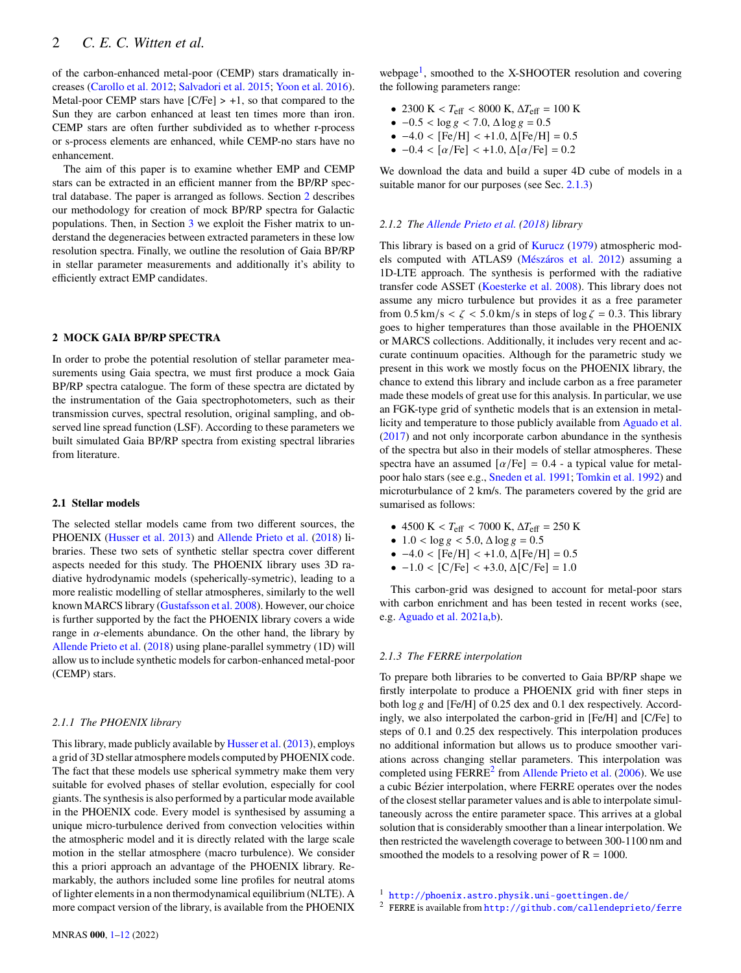of the carbon-enhanced metal-poor (CEMP) stars dramatically increases [\(Carollo et al.](#page-10-5) [2012;](#page-10-5) [Salvadori et al.](#page-11-7) [2015;](#page-11-7) [Yoon et al.](#page-11-8) [2016\)](#page-11-8). Metal-poor CEMP stars have  $[C/Fe] > +1$ , so that compared to the Sun they are carbon enhanced at least ten times more than iron. CEMP stars are often further subdivided as to whether r-process or s-process elements are enhanced, while CEMP-no stars have no enhancement.

The aim of this paper is to examine whether EMP and CEMP stars can be extracted in an efficient manner from the BP/RP spectral database. The paper is arranged as follows. Section [2](#page-1-0) describes our methodology for creation of mock BP/RP spectra for Galactic populations. Then, in Section [3](#page-2-0) we exploit the Fisher matrix to understand the degeneracies between extracted parameters in these low resolution spectra. Finally, we outline the resolution of Gaia BP/RP in stellar parameter measurements and additionally it's ability to efficiently extract EMP candidates.

# <span id="page-1-0"></span>**2 MOCK GAIA BP/RP SPECTRA**

In order to probe the potential resolution of stellar parameter measurements using Gaia spectra, we must first produce a mock Gaia BP/RP spectra catalogue. The form of these spectra are dictated by the instrumentation of the Gaia spectrophotometers, such as their transmission curves, spectral resolution, original sampling, and observed line spread function (LSF). According to these parameters we built simulated Gaia BP/RP spectra from existing spectral libraries from literature.

#### **2.1 Stellar models**

The selected stellar models came from two different sources, the PHOENIX [\(Husser et al.](#page-11-9) [2013\)](#page-11-9) and [Allende Prieto et al.](#page-10-6) [\(2018\)](#page-10-6) libraries. These two sets of synthetic stellar spectra cover different aspects needed for this study. The PHOENIX library uses 3D radiative hydrodynamic models (speherically-symetric), leading to a more realistic modelling of stellar atmospheres, similarly to the well known MARCS library [\(Gustafsson et al.](#page-11-10) [2008\)](#page-11-10). However, our choice is further supported by the fact the PHOENIX library covers a wide range in  $\alpha$ -elements abundance. On the other hand, the library by [Allende Prieto et al.](#page-10-6) [\(2018\)](#page-10-6) using plane-parallel symmetry (1D) will allow us to include synthetic models for carbon-enhanced metal-poor (CEMP) stars.

#### <span id="page-1-5"></span>*2.1.1 The PHOENIX library*

This library, made publicly available by [Husser et al.](#page-11-9) [\(2013\)](#page-11-9), employs a grid of 3D stellar atmosphere models computed by PHOENIX code. The fact that these models use spherical symmetry make them very suitable for evolved phases of stellar evolution, especially for cool giants. The synthesis is also performed by a particular mode available in the PHOENIX code. Every model is synthesised by assuming a unique micro-turbulence derived from convection velocities within the atmospheric model and it is directly related with the large scale motion in the stellar atmosphere (macro turbulence). We consider this a priori approach an advantage of the PHOENIX library. Remarkably, the authors included some line profiles for neutral atoms of lighter elements in a non thermodynamical equilibrium (NLTE). A more compact version of the library, is available from the PHOENIX

- 2300 K <  $T_{\text{eff}}$  < 8000 K,  $\Delta T_{\text{eff}}$  = 100 K
- $-0.5 < \log g < 7.0$ ,  $\Delta \log g = 0.5$
- $-4.0 < [Fe/H] < +1.0, \Delta[Fe/H] = 0.5$
- $-0.4 < [\alpha/\text{Fe}] < +1.0, \Delta[\alpha/\text{Fe}] = 0.2$

We download the data and build a super 4D cube of models in a suitable manor for our purposes (see Sec. [2.1.3\)](#page-1-2)

## <span id="page-1-4"></span>*2.1.2 The [Allende Prieto et al.](#page-10-6) [\(2018\)](#page-10-6) library*

This library is based on a grid of [Kurucz](#page-11-11) [\(1979\)](#page-11-11) atmospheric models computed with ATLAS9 [\(Mészáros et al.](#page-11-12) [2012\)](#page-11-12) assuming a 1D-LTE approach. The synthesis is performed with the radiative transfer code ASSET [\(Koesterke et al.](#page-11-13) [2008\)](#page-11-13). This library does not assume any micro turbulence but provides it as a free parameter from  $0.5 \text{ km/s} < \zeta < 5.0 \text{ km/s}$  in steps of  $\log \zeta = 0.3$ . This library goes to higher temperatures than those available in the PHOENIX or MARCS collections. Additionally, it includes very recent and accurate continuum opacities. Although for the parametric study we present in this work we mostly focus on the PHOENIX library, the chance to extend this library and include carbon as a free parameter made these models of great use for this analysis. In particular, we use an FGK-type grid of synthetic models that is an extension in metallicity and temperature to those publicly available from [Aguado et al.](#page-10-7) [\(2017\)](#page-10-7) and not only incorporate carbon abundance in the synthesis of the spectra but also in their models of stellar atmospheres. These spectra have an assumed  $\lceil \alpha/\text{Fe} \rceil = 0.4$  - a typical value for metalpoor halo stars (see e.g., [Sneden et al.](#page-11-14) [1991;](#page-11-14) [Tomkin et al.](#page-11-15) [1992\)](#page-11-15) and microturbulance of 2 km/s. The parameters covered by the grid are sumarised as follows:

- 4500 K <  $T_{\text{eff}}$  < 7000 K,  $\Delta T_{\text{eff}}$  = 250 K
- $1.0 < \log g < 5.0$ ,  $\Delta \log g = 0.5$
- $-4.0 < [Fe/H] < +1.0, \Delta[Fe/H] = 0.5$
- $-1.0 < [C/Fe] < +3.0, \Delta[C/Fe] = 1.0$

This carbon-grid was designed to account for metal-poor stars with carbon enrichment and has been tested in recent works (see, e.g. [Aguado et al.](#page-10-8) [2021a,](#page-10-8)[b\)](#page-10-9).

## <span id="page-1-2"></span>*2.1.3 The FERRE interpolation*

To prepare both libraries to be converted to Gaia BP/RP shape we firstly interpolate to produce a PHOENIX grid with finer steps in both  $\log g$  and [Fe/H] of 0.25 dex and 0.1 dex respectively. Accordingly, we also interpolated the carbon-grid in [Fe/H] and [C/Fe] to steps of 0.1 and 0.25 dex respectively. This interpolation produces no additional information but allows us to produce smoother variations across changing stellar parameters. This interpolation was completed using  $FERRE<sup>2</sup>$  $FERRE<sup>2</sup>$  $FERRE<sup>2</sup>$  from [Allende Prieto et al.](#page-10-10) [\(2006\)](#page-10-10). We use a cubic Bézier interpolation, where FERRE operates over the nodes of the closest stellar parameter values and is able to interpolate simultaneously across the entire parameter space. This arrives at a global solution that is considerably smoother than a linear interpolation. We then restricted the wavelength coverage to between 300-1100 nm and smoothed the models to a resolving power of  $R = 1000$ .

<span id="page-1-3"></span><sup>2</sup> FERRE is available from <http://github.com/callendeprieto/ferre>

<span id="page-1-1"></span><sup>1</sup> <http://phoenix.astro.physik.uni-goettingen.de/>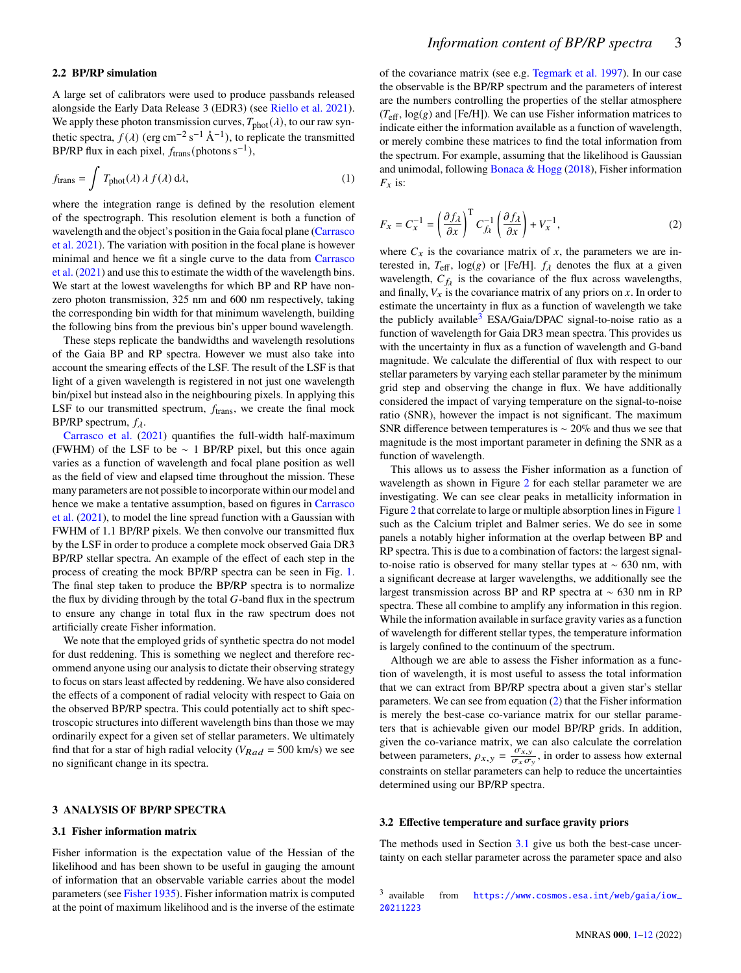<span id="page-2-4"></span>A large set of calibrators were used to produce passbands released alongside the Early Data Release 3 (EDR3) (see [Riello et al.](#page-11-16) [2021\)](#page-11-16). We apply these photon transmission curves,  $T_{\text{phot}}(\lambda)$ , to our raw synthetic spectra,  $f(\lambda)$  (erg cm<sup>-2</sup> s<sup>-1</sup> Å<sup>-1</sup>), to replicate the transmitted BP/RP flux in each pixel,  $f_{trans}$ (photons s<sup>-1</sup>),

$$
f_{\text{trans}} = \int T_{\text{phot}}(\lambda) \,\lambda \, f(\lambda) \,\mathrm{d}\lambda,\tag{1}
$$

where the integration range is defined by the resolution element of the spectrograph. This resolution element is both a function of wavelength and the object's position in the Gaia focal plane [\(Carrasco](#page-10-2) [et al.](#page-10-2) [2021\)](#page-10-2). The variation with position in the focal plane is however minimal and hence we fit a single curve to the data from [Carrasco](#page-10-2) [et al.](#page-10-2) [\(2021\)](#page-10-2) and use this to estimate the width of the wavelength bins. We start at the lowest wavelengths for which BP and RP have nonzero photon transmission, 325 nm and 600 nm respectively, taking the corresponding bin width for that minimum wavelength, building the following bins from the previous bin's upper bound wavelength.

These steps replicate the bandwidths and wavelength resolutions of the Gaia BP and RP spectra. However we must also take into account the smearing effects of the LSF. The result of the LSF is that light of a given wavelength is registered in not just one wavelength bin/pixel but instead also in the neighbouring pixels. In applying this LSF to our transmitted spectrum,  $f_{trans}$ , we create the final mock BP/RP spectrum,  $f_{\lambda}$ .

[Carrasco et al.](#page-10-2) [\(2021\)](#page-10-2) quantifies the full-width half-maximum (FWHM) of the LSF to be ∼ 1 BP/RP pixel, but this once again varies as a function of wavelength and focal plane position as well as the field of view and elapsed time throughout the mission. These many parameters are not possible to incorporate within our model and hence we make a tentative assumption, based on figures in [Carrasco](#page-10-2) [et al.](#page-10-2) [\(2021\)](#page-10-2), to model the line spread function with a Gaussian with FWHM of 1.1 BP/RP pixels. We then convolve our transmitted flux by the LSF in order to produce a complete mock observed Gaia DR3 BP/RP stellar spectra. An example of the effect of each step in the process of creating the mock BP/RP spectra can be seen in Fig. [1.](#page-3-0) The final step taken to produce the BP/RP spectra is to normalize the flux by dividing through by the total  $G$ -band flux in the spectrum to ensure any change in total flux in the raw spectrum does not artificially create Fisher information.

We note that the employed grids of synthetic spectra do not model for dust reddening. This is something we neglect and therefore recommend anyone using our analysis to dictate their observing strategy to focus on stars least affected by reddening. We have also considered the effects of a component of radial velocity with respect to Gaia on the observed BP/RP spectra. This could potentially act to shift spectroscopic structures into different wavelength bins than those we may ordinarily expect for a given set of stellar parameters. We ultimately find that for a star of high radial velocity ( $V_{Rad} = 500$  km/s) we see no significant change in its spectra.

#### <span id="page-2-0"></span>**3 ANALYSIS OF BP/RP SPECTRA**

### <span id="page-2-3"></span>**3.1 Fisher information matrix**

Fisher information is the expectation value of the Hessian of the likelihood and has been shown to be useful in gauging the amount of information that an observable variable carries about the model parameters (see [Fisher](#page-10-11) [1935\)](#page-10-11). Fisher information matrix is computed at the point of maximum likelihood and is the inverse of the estimate of the covariance matrix (see e.g. [Tegmark et al.](#page-11-17) [1997\)](#page-11-17). In our case the observable is the BP/RP spectrum and the parameters of interest are the numbers controlling the properties of the stellar atmosphere  $(T_{\text{eff}}$ , log(g) and [Fe/H]). We can use Fisher information matrices to indicate either the information available as a function of wavelength, or merely combine these matrices to find the total information from the spectrum. For example, assuming that the likelihood is Gaussian and unimodal, following [Bonaca & Hogg](#page-10-12) [\(2018\)](#page-10-12), Fisher information  $F_x$  is:

<span id="page-2-2"></span>
$$
F_x = C_x^{-1} = \left(\frac{\partial f_\lambda}{\partial x}\right)^{\mathrm{T}} C_{f_\lambda}^{-1} \left(\frac{\partial f_\lambda}{\partial x}\right) + V_x^{-1},\tag{2}
$$

where  $C_x$  is the covariance matrix of x, the parameters we are interested in,  $T_{\text{eff}}$ , log(g) or [Fe/H].  $f_{\lambda}$  denotes the flux at a given wavelength,  $C_{f\lambda}$  is the covariance of the flux across wavelengths, and finally,  $V_x$  is the covariance matrix of any priors on  $x$ . In order to estimate the uncertainty in flux as a function of wavelength we take the publicly available<sup>[3](#page-2-1)</sup> ESA/Gaia/DPAC signal-to-noise ratio as a function of wavelength for Gaia DR3 mean spectra. This provides us with the uncertainty in flux as a function of wavelength and G-band magnitude. We calculate the differential of flux with respect to our stellar parameters by varying each stellar parameter by the minimum grid step and observing the change in flux. We have additionally considered the impact of varying temperature on the signal-to-noise ratio (SNR), however the impact is not significant. The maximum SNR difference between temperatures is ∼ 20% and thus we see that magnitude is the most important parameter in defining the SNR as a function of wavelength.

This allows us to assess the Fisher information as a function of wavelength as shown in Figure [2](#page-3-1) for each stellar parameter we are investigating. We can see clear peaks in metallicity information in Figure [2](#page-3-1) that correlate to large or multiple absorption lines in Figure [1](#page-3-0) such as the Calcium triplet and Balmer series. We do see in some panels a notably higher information at the overlap between BP and RP spectra. This is due to a combination of factors: the largest signalto-noise ratio is observed for many stellar types at ∼ 630 nm, with a significant decrease at larger wavelengths, we additionally see the largest transmission across BP and RP spectra at ∼ 630 nm in RP spectra. These all combine to amplify any information in this region. While the information available in surface gravity varies as a function of wavelength for different stellar types, the temperature information is largely confined to the continuum of the spectrum.

Although we are able to assess the Fisher information as a function of wavelength, it is most useful to assess the total information that we can extract from BP/RP spectra about a given star's stellar parameters. We can see from equation [\(2\)](#page-2-2) that the Fisher information is merely the best-case co-variance matrix for our stellar parameters that is achievable given our model BP/RP grids. In addition, given the co-variance matrix, we can also calculate the correlation between parameters,  $\rho_{x,y} = \frac{\sigma_{x,y}}{\sigma_{y,x}}$  $\frac{\sigma_{x,y}}{\sigma_x \sigma_y}$ , in order to assess how external constraints on stellar parameters can help to reduce the uncertainties determined using our BP/RP spectra.

## **3.2 Effective temperature and surface gravity priors**

The methods used in Section [3.1](#page-2-3) give us both the best-case uncertainty on each stellar parameter across the parameter space and also

<span id="page-2-1"></span><sup>3</sup> available from [https://www.cosmos.esa.int/web/gaia/iow\\_](https://www.cosmos.esa.int/web/gaia/iow_20211223) [20211223](https://www.cosmos.esa.int/web/gaia/iow_20211223)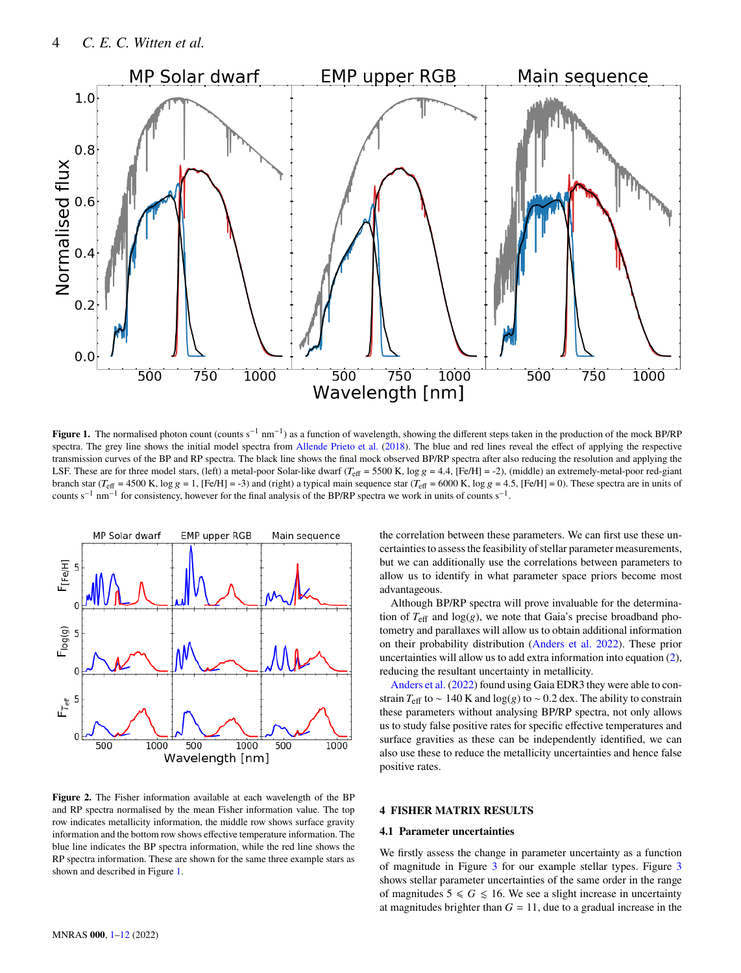

**Figure 1.** The normalised photon count (counts s<sup>-1</sup> nm<sup>-1</sup>) as a function of wavelength, showing the different steps taken in the production of the mock BP/RP spectra. The grey line shows the initial model spectra from [Allende Prieto et al.](#page-10-6) [\(2018\)](#page-10-6). The blue and red lines reveal the effect of applying the respective transmission curves of the BP and RP spectra. The black line shows the final mock observed BP/RP spectra after also reducing the resolution and applying the LSF. These are for three model stars, (left) a metal-poor Solar-like dwarf ( $T_{\text{eff}} = 5500$  K, log  $g = 4.4$ , [Fe/H] = -2), (middle) an extremely-metal-poor red-giant branch star ( $T_{\text{eff}}$  = 4500 K, log  $g = 1$ , [Fe/H] = -3) and (right) a typical main sequence star ( $T_{\text{eff}}$  = 6000 K, log  $g = 4.5$ , [Fe/H] = 0). These spectra are in units of counts s<sup>-1</sup> nm<sup>-1</sup> for consistency, however for the final analysis of the BP/RP spectra we work in units of counts s<sup>-1</sup>.



<span id="page-3-1"></span>**Figure 2.** The Fisher information available at each wavelength of the BP and RP spectra normalised by the mean Fisher information value. The top row indicates metallicity information, the middle row shows surface gravity information and the bottom row shows effective temperature information. The blue line indicates the BP spectra information, while the red line shows the RP spectra information. These are shown for the same three example stars as shown and described in Figure [1.](#page-3-0)

<span id="page-3-0"></span>the correlation between these parameters. We can first use these uncertainties to assess the feasibility of stellar parameter measurements, but we can additionally use the correlations between parameters to allow us to identify in what parameter space priors become most advantageous.

Although BP/RP spectra will prove invaluable for the determination of  $T_{\text{eff}}$  and  $\log(g)$ , we note that Gaia's precise broadband photometry and parallaxes will allow us to obtain additional information on their probability distribution [\(Anders et al.](#page-10-13) [2022\)](#page-10-13). These prior uncertainties will allow us to add extra information into equation [\(2\)](#page-2-2), reducing the resultant uncertainty in metallicity.

[Anders et al.](#page-10-13) [\(2022\)](#page-10-13) found using Gaia EDR3 they were able to constrain  $T_{\text{eff}}$  to ~ 140 K and log(g) to ~ 0.2 dex. The ability to constrain these parameters without analysing BP/RP spectra, not only allows us to study false positive rates for specific effective temperatures and surface gravities as these can be independently identified, we can also use these to reduce the metallicity uncertainties and hence false positive rates.

# **4 FISHER MATRIX RESULTS**

## <span id="page-3-2"></span>**4.1 Parameter uncertainties**

We firstly assess the change in parameter uncertainty as a function of magnitude in Figure [3](#page-4-0) for our example stellar types. Figure [3](#page-4-0) shows stellar parameter uncertainties of the same order in the range of magnitudes  $5 \le G \le 16$ . We see a slight increase in uncertainty at magnitudes brighter than  $G = 11$ , due to a gradual increase in the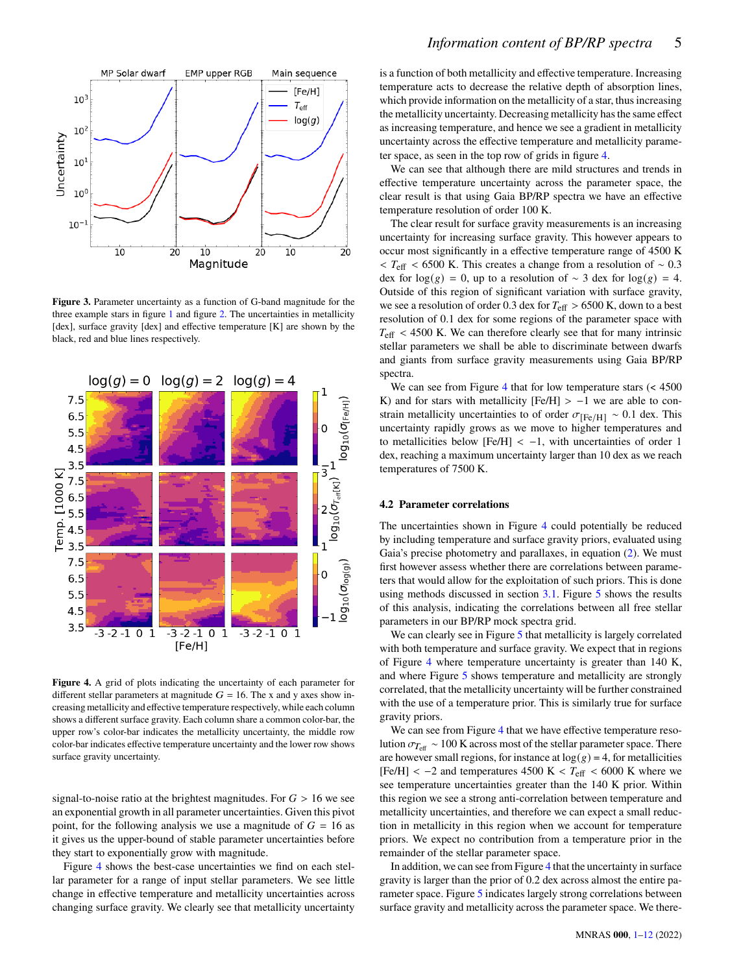

<span id="page-4-0"></span>**Figure 3.** Parameter uncertainty as a function of G-band magnitude for the three example stars in figure [1](#page-3-0) and figure [2.](#page-3-1) The uncertainties in metallicity [dex], surface gravity [dex] and effective temperature [K] are shown by the black, red and blue lines respectively.



<span id="page-4-1"></span>**Figure 4.** A grid of plots indicating the uncertainty of each parameter for different stellar parameters at magnitude  $G = 16$ . The x and y axes show increasing metallicity and effective temperature respectively, while each column shows a different surface gravity. Each column share a common color-bar, the upper row's color-bar indicates the metallicity uncertainty, the middle row color-bar indicates effective temperature uncertainty and the lower row shows surface gravity uncertainty.

signal-to-noise ratio at the brightest magnitudes. For  $G > 16$  we see an exponential growth in all parameter uncertainties. Given this pivot point, for the following analysis we use a magnitude of  $G = 16$  as it gives us the upper-bound of stable parameter uncertainties before they start to exponentially grow with magnitude.

Figure [4](#page-4-1) shows the best-case uncertainties we find on each stellar parameter for a range of input stellar parameters. We see little change in effective temperature and metallicity uncertainties across changing surface gravity. We clearly see that metallicity uncertainty is a function of both metallicity and effective temperature. Increasing temperature acts to decrease the relative depth of absorption lines, which provide information on the metallicity of a star, thus increasing the metallicity uncertainty. Decreasing metallicity has the same effect as increasing temperature, and hence we see a gradient in metallicity uncertainty across the effective temperature and metallicity parameter space, as seen in the top row of grids in figure [4.](#page-4-1)

We can see that although there are mild structures and trends in effective temperature uncertainty across the parameter space, the clear result is that using Gaia BP/RP spectra we have an effective temperature resolution of order 100 K.

The clear result for surface gravity measurements is an increasing uncertainty for increasing surface gravity. This however appears to occur most significantly in a effective temperature range of 4500 K  $\tau$  <  $T_{\text{eff}}$  < 6500 K. This creates a change from a resolution of ~ 0.3 dex for log( $g$ ) = 0, up to a resolution of ~ 3 dex for log( $g$ ) = 4. Outside of this region of significant variation with surface gravity, we see a resolution of order 0.3 dex for  $T_{\text{eff}} > 6500$  K, down to a best resolution of 0.1 dex for some regions of the parameter space with  $T_{\text{eff}}$  < 4500 K. We can therefore clearly see that for many intrinsic stellar parameters we shall be able to discriminate between dwarfs and giants from surface gravity measurements using Gaia BP/RP spectra.

We can see from Figure [4](#page-4-1) that for low temperature stars  $\leq 4500$ K) and for stars with metallicity  $[Fe/H] > -1$  we are able to constrain metallicity uncertainties to of order  $\sigma_{[Fe/H]} \sim 0.1$  dex. This uncertainty rapidly grows as we move to higher temperatures and to metallicities below  $[Fe/H] < -1$ , with uncertainties of order 1 dex, reaching a maximum uncertainty larger than 10 dex as we reach temperatures of 7500 K.

## <span id="page-4-2"></span>**4.2 Parameter correlations**

The uncertainties shown in Figure [4](#page-4-1) could potentially be reduced by including temperature and surface gravity priors, evaluated using Gaia's precise photometry and parallaxes, in equation [\(2\)](#page-2-2). We must first however assess whether there are correlations between parameters that would allow for the exploitation of such priors. This is done using methods discussed in section [3.1.](#page-2-3) Figure [5](#page-5-0) shows the results of this analysis, indicating the correlations between all free stellar parameters in our BP/RP mock spectra grid.

We can clearly see in Figure [5](#page-5-0) that metallicity is largely correlated with both temperature and surface gravity. We expect that in regions of Figure [4](#page-4-1) where temperature uncertainty is greater than 140 K, and where Figure [5](#page-5-0) shows temperature and metallicity are strongly correlated, that the metallicity uncertainty will be further constrained with the use of a temperature prior. This is similarly true for surface gravity priors.

We can see from Figure [4](#page-4-1) that we have effective temperature resolution  $\sigma_{T_{\text{eff}}} \sim 100 \text{ K}$  across most of the stellar parameter space. There are however small regions, for instance at  $log(g) = 4$ , for metallicities [Fe/H] < -2 and temperatures 4500 K <  $T_{\text{eff}}$  < 6000 K where we see temperature uncertainties greater than the 140 K prior. Within this region we see a strong anti-correlation between temperature and metallicity uncertainties, and therefore we can expect a small reduction in metallicity in this region when we account for temperature priors. We expect no contribution from a temperature prior in the remainder of the stellar parameter space.

In addition, we can see from Figure [4](#page-4-1) that the uncertainty in surface gravity is larger than the prior of 0.2 dex across almost the entire parameter space. Figure [5](#page-5-0) indicates largely strong correlations between surface gravity and metallicity across the parameter space. We there-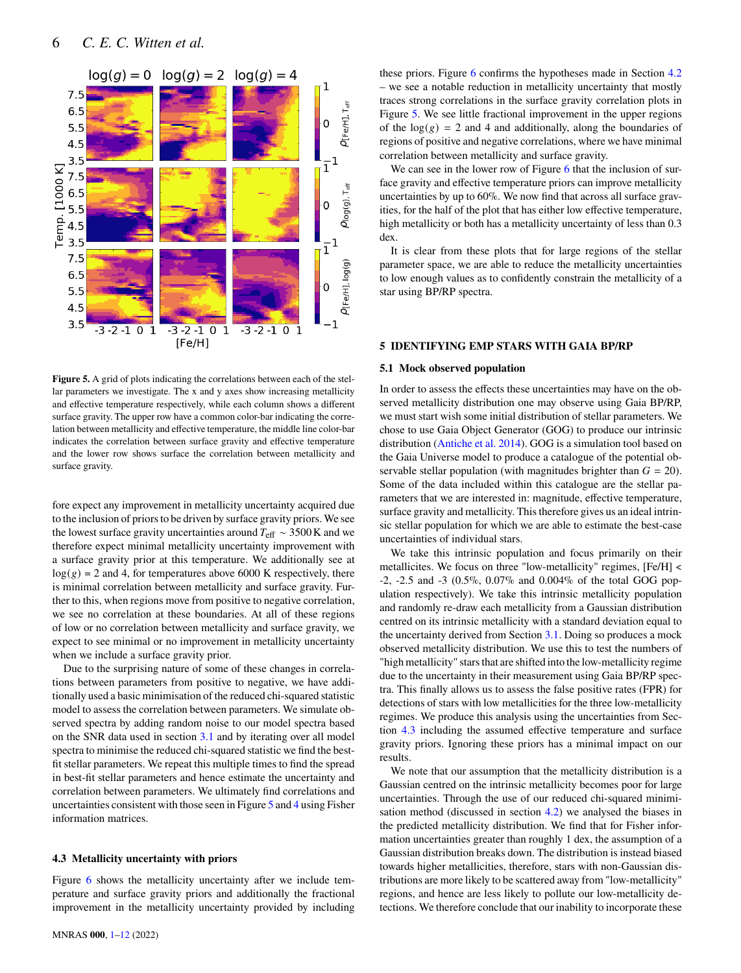

<span id="page-5-0"></span>**Figure 5.** A grid of plots indicating the correlations between each of the stellar parameters we investigate. The x and y axes show increasing metallicity and effective temperature respectively, while each column shows a different surface gravity. The upper row have a common color-bar indicating the correlation between metallicity and effective temperature, the middle line color-bar indicates the correlation between surface gravity and effective temperature and the lower row shows surface the correlation between metallicity and surface gravity.

fore expect any improvement in metallicity uncertainty acquired due to the inclusion of priors to be driven by surface gravity priors. We see the lowest surface gravity uncertainties around  $T_{\text{eff}} \sim 3500 \text{ K}$  and we therefore expect minimal metallicity uncertainty improvement with a surface gravity prior at this temperature. We additionally see at  $log(g) = 2$  and 4, for temperatures above 6000 K respectively, there is minimal correlation between metallicity and surface gravity. Further to this, when regions move from positive to negative correlation, we see no correlation at these boundaries. At all of these regions of low or no correlation between metallicity and surface gravity, we expect to see minimal or no improvement in metallicity uncertainty when we include a surface gravity prior.

Due to the surprising nature of some of these changes in correlations between parameters from positive to negative, we have additionally used a basic minimisation of the reduced chi-squared statistic model to assess the correlation between parameters. We simulate observed spectra by adding random noise to our model spectra based on the SNR data used in section [3.1](#page-2-3) and by iterating over all model spectra to minimise the reduced chi-squared statistic we find the bestfit stellar parameters. We repeat this multiple times to find the spread in best-fit stellar parameters and hence estimate the uncertainty and correlation between parameters. We ultimately find correlations and uncertainties consistent with those seen in Figure [5](#page-5-0) and [4](#page-4-1) using Fisher information matrices.

# <span id="page-5-1"></span>**4.3 Metallicity uncertainty with priors**

Figure [6](#page-6-0) shows the metallicity uncertainty after we include temperature and surface gravity priors and additionally the fractional improvement in the metallicity uncertainty provided by including

these priors. Figure [6](#page-6-0) confirms the hypotheses made in Section [4.2](#page-4-2) – we see a notable reduction in metallicity uncertainty that mostly traces strong correlations in the surface gravity correlation plots in Figure [5.](#page-5-0) We see little fractional improvement in the upper regions of the  $log(g) = 2$  and 4 and additionally, along the boundaries of regions of positive and negative correlations, where we have minimal correlation between metallicity and surface gravity.

We can see in the lower row of Figure [6](#page-6-0) that the inclusion of surface gravity and effective temperature priors can improve metallicity uncertainties by up to 60%. We now find that across all surface gravities, for the half of the plot that has either low effective temperature, high metallicity or both has a metallicity uncertainty of less than 0.3 dex.

It is clear from these plots that for large regions of the stellar parameter space, we are able to reduce the metallicity uncertainties to low enough values as to confidently constrain the metallicity of a star using BP/RP spectra.

# **5 IDENTIFYING EMP STARS WITH GAIA BP/RP**

#### <span id="page-5-2"></span>**5.1 Mock observed population**

In order to assess the effects these uncertainties may have on the observed metallicity distribution one may observe using Gaia BP/RP, we must start wish some initial distribution of stellar parameters. We chose to use Gaia Object Generator (GOG) to produce our intrinsic distribution [\(Antiche et al.](#page-10-14) [2014\)](#page-10-14). GOG is a simulation tool based on the Gaia Universe model to produce a catalogue of the potential observable stellar population (with magnitudes brighter than  $G = 20$ ). Some of the data included within this catalogue are the stellar parameters that we are interested in: magnitude, effective temperature, surface gravity and metallicity. This therefore gives us an ideal intrinsic stellar population for which we are able to estimate the best-case uncertainties of individual stars.

We take this intrinsic population and focus primarily on their metallicites. We focus on three "low-metallicity" regimes, [Fe/H] < -2, -2.5 and -3 (0.5%, 0.07% and 0.004% of the total GOG population respectively). We take this intrinsic metallicity population and randomly re-draw each metallicity from a Gaussian distribution centred on its intrinsic metallicity with a standard deviation equal to the uncertainty derived from Section [3.1.](#page-2-3) Doing so produces a mock observed metallicity distribution. We use this to test the numbers of "high metallicity" stars that are shifted into the low-metallicity regime due to the uncertainty in their measurement using Gaia BP/RP spectra. This finally allows us to assess the false positive rates (FPR) for detections of stars with low metallicities for the three low-metallicity regimes. We produce this analysis using the uncertainties from Section [4.3](#page-5-1) including the assumed effective temperature and surface gravity priors. Ignoring these priors has a minimal impact on our results.

We note that our assumption that the metallicity distribution is a Gaussian centred on the intrinsic metallicity becomes poor for large uncertainties. Through the use of our reduced chi-squared minimisation method (discussed in section [4.2\)](#page-4-2) we analysed the biases in the predicted metallicity distribution. We find that for Fisher information uncertainties greater than roughly 1 dex, the assumption of a Gaussian distribution breaks down. The distribution is instead biased towards higher metallicities, therefore, stars with non-Gaussian distributions are more likely to be scattered away from "low-metallicity" regions, and hence are less likely to pollute our low-metallicity detections. We therefore conclude that our inability to incorporate these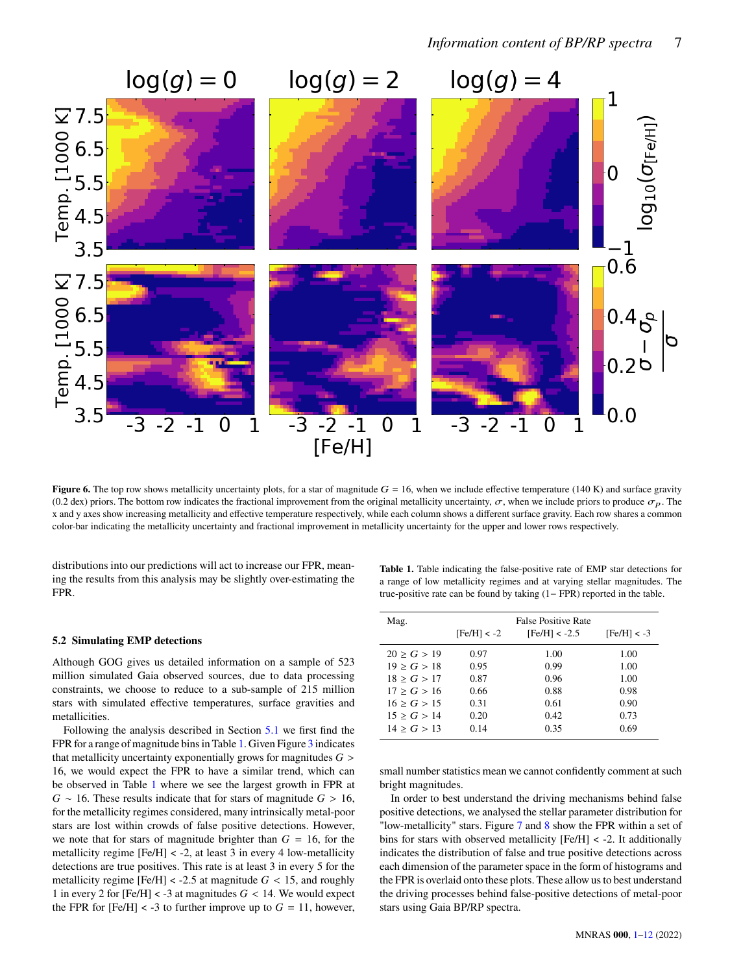

**Figure 6.** The top row shows metallicity uncertainty plots, for a star of magnitude  $G = 16$ , when we include effective temperature (140 K) and surface gravity (0.2 dex) priors. The bottom row indicates the fractional improvement from the original metallicity uncertainty,  $\sigma$ , when we include priors to produce  $\sigma_p$ . The x and y axes show increasing metallicity and effective temperature respectively, while each column shows a different surface gravity. Each row shares a common color-bar indicating the metallicity uncertainty and fractional improvement in metallicity uncertainty for the upper and lower rows respectively.

distributions into our predictions will act to increase our FPR, meaning the results from this analysis may be slightly over-estimating the FPR.

# **5.2 Simulating EMP detections**

Although GOG gives us detailed information on a sample of 523 million simulated Gaia observed sources, due to data processing constraints, we choose to reduce to a sub-sample of 215 million stars with simulated effective temperatures, surface gravities and metallicities.

Following the analysis described in Section [5.1](#page-5-2) we first find the FPR for a range of magnitude bins in Table [1.](#page-6-1) Given Figure [3](#page-4-0) indicates that metallicity uncertainty exponentially grows for magnitudes  $G >$ 16, we would expect the FPR to have a similar trend, which can be observed in Table [1](#page-6-1) where we see the largest growth in FPR at  $G \sim 16$ . These results indicate that for stars of magnitude  $G > 16$ , for the metallicity regimes considered, many intrinsically metal-poor stars are lost within crowds of false positive detections. However, we note that for stars of magnitude brighter than  $G = 16$ , for the metallicity regime  $[Fe/H] < -2$ , at least 3 in every 4 low-metallicity detections are true positives. This rate is at least 3 in every 5 for the metallicity regime [Fe/H] < -2.5 at magnitude  $G$  < 15, and roughly 1 in every 2 for  $[Fe/H] < -3$  at magnitudes  $G < 14$ . We would expect the FPR for  $[Fe/H] < -3$  to further improve up to  $G = 11$ , however,

<span id="page-6-1"></span><span id="page-6-0"></span>**Table 1.** Table indicating the false-positive rate of EMP star detections for a range of low metallicity regimes and at varying stellar magnitudes. The true-positive rate can be found by taking (1− FPR) reported in the table.

| Mag.        | $[Fe/H] < -2$ | <b>False Positive Rate</b><br>$[Fe/H] < -2.5$ | $[Fe/H] < -3$ |
|-------------|---------------|-----------------------------------------------|---------------|
| 20 > G > 19 | 0.97          | 1.00                                          | 1.00          |
| 19 > G > 18 | 0.95          | 0.99                                          | 1.00          |
| 18 > G > 17 | 0.87          | 0.96                                          | 1.00          |
| 17 > G > 16 | 0.66          | 0.88                                          | 0.98          |
| 16 > G > 15 | 0.31          | 0.61                                          | 0.90          |
| 15 > G > 14 | 0.20          | 0.42                                          | 0.73          |
| 14 > G > 13 | 0.14          | 0.35                                          | 0.69          |

small number statistics mean we cannot confidently comment at such bright magnitudes.

In order to best understand the driving mechanisms behind false positive detections, we analysed the stellar parameter distribution for "low-metallicity" stars. Figure [7](#page-7-0) and [8](#page-7-1) show the FPR within a set of bins for stars with observed metallicity [Fe/H] < -2. It additionally indicates the distribution of false and true positive detections across each dimension of the parameter space in the form of histograms and the FPR is overlaid onto these plots. These allow us to best understand the driving processes behind false-positive detections of metal-poor stars using Gaia BP/RP spectra.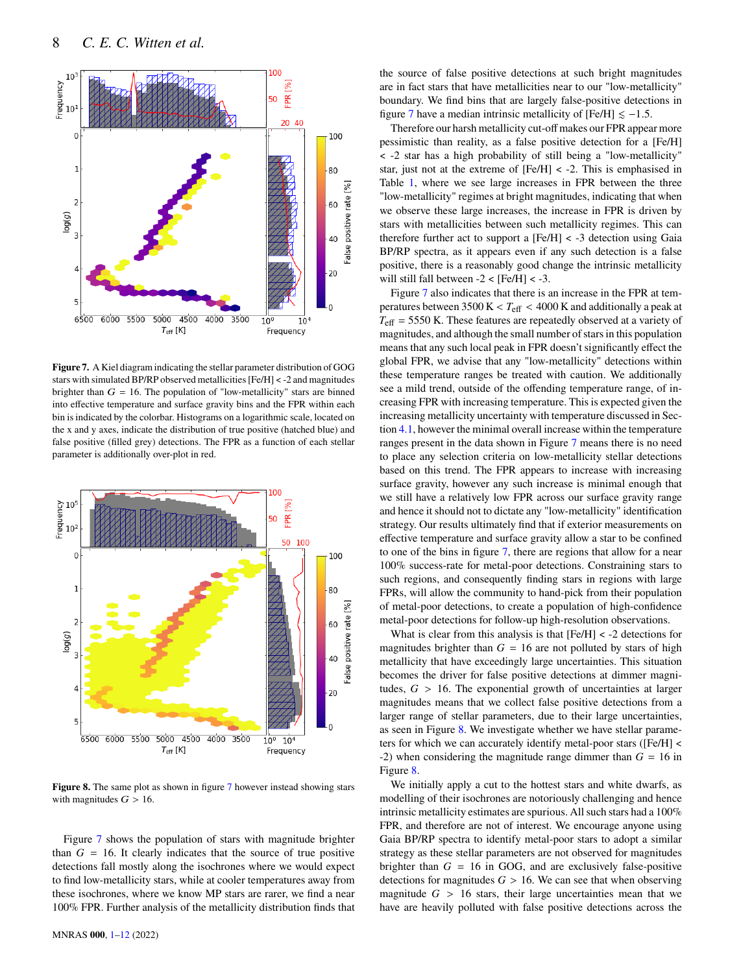

<span id="page-7-0"></span>**Figure 7.** A Kiel diagram indicating the stellar parameter distribution of GOG stars with simulated BP/RP observed metallicities [Fe/H] < -2 and magnitudes brighter than  $G = 16$ . The population of "low-metallicity" stars are binned into effective temperature and surface gravity bins and the FPR within each bin is indicated by the colorbar. Histograms on a logarithmic scale, located on the x and y axes, indicate the distribution of true positive (hatched blue) and false positive (filled grey) detections. The FPR as a function of each stellar parameter is additionally over-plot in red.



<span id="page-7-1"></span>**Figure 8.** The same plot as shown in figure [7](#page-7-0) however instead showing stars with magnitudes  $G > 16$ .

Figure [7](#page-7-0) shows the population of stars with magnitude brighter than  $G = 16$ . It clearly indicates that the source of true positive detections fall mostly along the isochrones where we would expect to find low-metallicity stars, while at cooler temperatures away from these isochrones, where we know MP stars are rarer, we find a near 100% FPR. Further analysis of the metallicity distribution finds that the source of false positive detections at such bright magnitudes are in fact stars that have metallicities near to our "low-metallicity" boundary. We find bins that are largely false-positive detections in figure [7](#page-7-0) have a median intrinsic metallicity of [Fe/H]  $\le -1.5$ .

Therefore our harsh metallicity cut-off makes our FPR appear more pessimistic than reality, as a false positive detection for a [Fe/H] < -2 star has a high probability of still being a "low-metallicity" star, just not at the extreme of [Fe/H] < -2. This is emphasised in Table [1,](#page-6-1) where we see large increases in FPR between the three "low-metallicity" regimes at bright magnitudes, indicating that when we observe these large increases, the increase in FPR is driven by stars with metallicities between such metallicity regimes. This can therefore further act to support a  $[Fe/H] < -3$  detection using Gaia BP/RP spectra, as it appears even if any such detection is a false positive, there is a reasonably good change the intrinsic metallicity will still fall between  $-2 <$  [Fe/H]  $< -3$ .

Figure [7](#page-7-0) also indicates that there is an increase in the FPR at temperatures between 3500 K <  $T_{\text{eff}}$  < 4000 K and additionally a peak at  $T_{\text{eff}}$  = 5550 K. These features are repeatedly observed at a variety of magnitudes, and although the small number of stars in this population means that any such local peak in FPR doesn't significantly effect the global FPR, we advise that any "low-metallicity" detections within these temperature ranges be treated with caution. We additionally see a mild trend, outside of the offending temperature range, of increasing FPR with increasing temperature. This is expected given the increasing metallicity uncertainty with temperature discussed in Section [4.1,](#page-3-2) however the minimal overall increase within the temperature ranges present in the data shown in Figure [7](#page-7-0) means there is no need to place any selection criteria on low-metallicity stellar detections based on this trend. The FPR appears to increase with increasing surface gravity, however any such increase is minimal enough that we still have a relatively low FPR across our surface gravity range and hence it should not to dictate any "low-metallicity" identification strategy. Our results ultimately find that if exterior measurements on effective temperature and surface gravity allow a star to be confined to one of the bins in figure [7,](#page-7-0) there are regions that allow for a near 100% success-rate for metal-poor detections. Constraining stars to such regions, and consequently finding stars in regions with large FPRs, will allow the community to hand-pick from their population of metal-poor detections, to create a population of high-confidence metal-poor detections for follow-up high-resolution observations.

What is clear from this analysis is that [Fe/H] < -2 detections for magnitudes brighter than  $G = 16$  are not polluted by stars of high metallicity that have exceedingly large uncertainties. This situation becomes the driver for false positive detections at dimmer magnitudes,  $G > 16$ . The exponential growth of uncertainties at larger magnitudes means that we collect false positive detections from a larger range of stellar parameters, due to their large uncertainties, as seen in Figure [8.](#page-7-1) We investigate whether we have stellar parameters for which we can accurately identify metal-poor stars ([Fe/H] < -2) when considering the magnitude range dimmer than  $G = 16$  in Figure [8.](#page-7-1)

We initially apply a cut to the hottest stars and white dwarfs, as modelling of their isochrones are notoriously challenging and hence intrinsic metallicity estimates are spurious. All such stars had a 100% FPR, and therefore are not of interest. We encourage anyone using Gaia BP/RP spectra to identify metal-poor stars to adopt a similar strategy as these stellar parameters are not observed for magnitudes brighter than  $G = 16$  in GOG, and are exclusively false-positive detections for magnitudes  $G > 16$ . We can see that when observing magnitude  $G > 16$  stars, their large uncertainties mean that we have are heavily polluted with false positive detections across the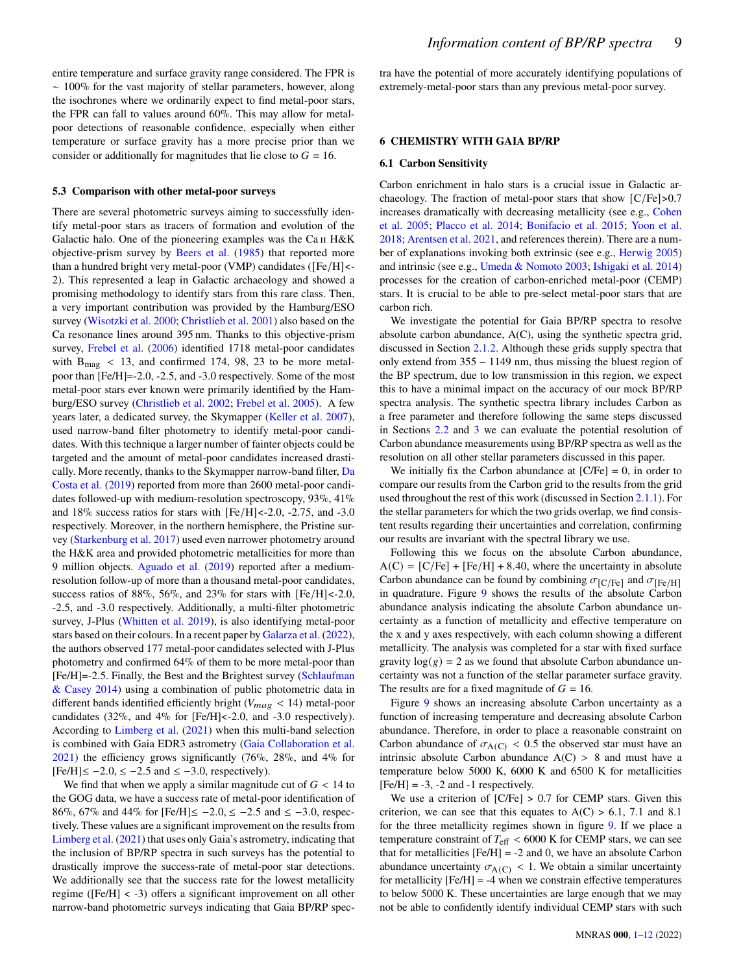entire temperature and surface gravity range considered. The FPR is ∼ 100% for the vast majority of stellar parameters, however, along the isochrones where we ordinarily expect to find metal-poor stars, the FPR can fall to values around 60%. This may allow for metalpoor detections of reasonable confidence, especially when either temperature or surface gravity has a more precise prior than we consider or additionally for magnitudes that lie close to  $G = 16$ .

## **5.3 Comparison with other metal-poor surveys**

There are several photometric surveys aiming to successfully identify metal-poor stars as tracers of formation and evolution of the Galactic halo. One of the pioneering examples was the Ca ii H&K objective-prism survey by [Beers et al.](#page-10-15) [\(1985\)](#page-10-15) that reported more than a hundred bright very metal-poor (VMP) candidates ([Fe/H]<- 2). This represented a leap in Galactic archaeology and showed a promising methodology to identify stars from this rare class. Then, a very important contribution was provided by the Hamburg/ESO survey [\(Wisotzki et al.](#page-11-18) [2000;](#page-11-18) [Christlieb et al.](#page-10-16) [2001\)](#page-10-16) also based on the Ca resonance lines around 395 nm. Thanks to this objective-prism survey, [Frebel et al.](#page-10-17) [\(2006\)](#page-10-17) identified 1718 metal-poor candidates with  $B_{\text{mag}}$  < 13, and confirmed 174, 98, 23 to be more metalpoor than [Fe/H]=-2.0, -2.5, and -3.0 respectively. Some of the most metal-poor stars ever known were primarily identified by the Hamburg/ESO survey [\(Christlieb et al.](#page-10-18) [2002;](#page-10-18) [Frebel et al.](#page-10-19) [2005\)](#page-10-19). A few years later, a dedicated survey, the Skymapper [\(Keller et al.](#page-11-19) [2007\)](#page-11-19), used narrow-band filter photometry to identify metal-poor candidates. With this technique a larger number of fainter objects could be targeted and the amount of metal-poor candidates increased drastically. More recently, thanks to the Skymapper narrow-band filter, [Da](#page-10-20) [Costa et al.](#page-10-20) [\(2019\)](#page-10-20) reported from more than 2600 metal-poor candidates followed-up with medium-resolution spectroscopy, 93%, 41% and  $18\%$  success ratios for stars with [Fe/H] <-2.0, -2.75, and -3.0 respectively. Moreover, in the northern hemisphere, the Pristine survey [\(Starkenburg et al.](#page-11-4) [2017\)](#page-11-4) used even narrower photometry around the H&K area and provided photometric metallicities for more than 9 million objects. [Aguado et al.](#page-10-21) [\(2019\)](#page-10-21) reported after a mediumresolution follow-up of more than a thousand metal-poor candidates, success ratios of 88%, 56%, and 23% for stars with  $[Fe/H] < -2.0$ , -2.5, and -3.0 respectively. Additionally, a multi-filter photometric survey, J-Plus [\(Whitten et al.](#page-11-20) [2019\)](#page-11-20), is also identifying metal-poor stars based on their colours. In a recent paper by [Galarza et al.](#page-10-22) [\(2022\)](#page-10-22), the authors observed 177 metal-poor candidates selected with J-Plus photometry and confirmed 64% of them to be more metal-poor than [Fe/H]=-2.5. Finally, the Best and the Brightest survey [\(Schlaufman](#page-11-2) [& Casey](#page-11-2) [2014\)](#page-11-2) using a combination of public photometric data in different bands identified efficiently bright ( $V_{mag}$  < 14) metal-poor candidates (32%, and 4% for [Fe/H]<-2.0, and -3.0 respectively). According to [Limberg et al.](#page-11-3) [\(2021\)](#page-11-3) when this multi-band selection is combined with Gaia EDR3 astrometry [\(Gaia Collaboration et al.](#page-10-23) [2021\)](#page-10-23) the efficiency grows significantly (76%, 28%, and 4% for  $[Fe/H] \le -2.0, \le -2.5$  and  $\le -3.0$ , respectively).

We find that when we apply a similar magnitude cut of  $G < 14$  to the GOG data, we have a success rate of metal-poor identification of 86%, 67% and 44% for [Fe/H]≤  $-2.0$ , ≤  $-2.5$  and ≤  $-3.0$ , respectively. These values are a significant improvement on the results from [Limberg et al.](#page-11-3) [\(2021\)](#page-11-3) that uses only Gaia's astrometry, indicating that the inclusion of BP/RP spectra in such surveys has the potential to drastically improve the success-rate of metal-poor star detections. We additionally see that the success rate for the lowest metallicity regime ([Fe/H] < -3) offers a significant improvement on all other narrow-band photometric surveys indicating that Gaia BP/RP spectra have the potential of more accurately identifying populations of extremely-metal-poor stars than any previous metal-poor survey.

# **6 CHEMISTRY WITH GAIA BP/RP**

## <span id="page-8-0"></span>**6.1 Carbon Sensitivity**

Carbon enrichment in halo stars is a crucial issue in Galactic archaeology. The fraction of metal-poor stars that show  $\left[\frac{C}{Fe}\right] > 0.7$ increases dramatically with decreasing metallicity (see e.g., [Cohen](#page-10-24) [et al.](#page-10-24) [2005;](#page-10-24) [Placco et al.](#page-11-21) [2014;](#page-11-21) [Bonifacio et al.](#page-10-25) [2015;](#page-10-25) [Yoon et al.](#page-11-22) [2018;](#page-11-22) [Arentsen et al.](#page-10-26) [2021,](#page-10-26) and references therein). There are a number of explanations invoking both extrinsic (see e.g., [Herwig](#page-11-23) [2005\)](#page-11-23) and intrinsic (see e.g., [Umeda & Nomoto](#page-11-24) [2003;](#page-11-24) [Ishigaki et al.](#page-11-25) [2014\)](#page-11-25) processes for the creation of carbon-enriched metal-poor (CEMP) stars. It is crucial to be able to pre-select metal-poor stars that are carbon rich.

We investigate the potential for Gaia BP/RP spectra to resolve absolute carbon abundance, A(C), using the synthetic spectra grid, discussed in Section [2.1.2.](#page-1-4) Although these grids supply spectra that only extend from 355 − 1149 nm, thus missing the bluest region of the BP spectrum, due to low transmission in this region, we expect this to have a minimal impact on the accuracy of our mock BP/RP spectra analysis. The synthetic spectra library includes Carbon as a free parameter and therefore following the same steps discussed in Sections [2.2](#page-2-4) and [3](#page-2-0) we can evaluate the potential resolution of Carbon abundance measurements using BP/RP spectra as well as the resolution on all other stellar parameters discussed in this paper.

We initially fix the Carbon abundance at  $[C/Fe] = 0$ , in order to compare our results from the Carbon grid to the results from the grid used throughout the rest of this work (discussed in Section [2.1.1\)](#page-1-5). For the stellar parameters for which the two grids overlap, we find consistent results regarding their uncertainties and correlation, confirming our results are invariant with the spectral library we use.

Following this we focus on the absolute Carbon abundance,  $A(C) = [C/Fe] + [Fe/H] + 8.40$ , where the uncertainty in absolute Carbon abundance can be found by combining  $\sigma_{[C/Fe]}$  and  $\sigma_{[Fe/H]}$ in quadrature. Figure [9](#page-9-0) shows the results of the absolute Carbon abundance analysis indicating the absolute Carbon abundance uncertainty as a function of metallicity and effective temperature on the x and y axes respectively, with each column showing a different metallicity. The analysis was completed for a star with fixed surface gravity  $log(g) = 2$  as we found that absolute Carbon abundance uncertainty was not a function of the stellar parameter surface gravity. The results are for a fixed magnitude of  $G = 16$ .

Figure [9](#page-9-0) shows an increasing absolute Carbon uncertainty as a function of increasing temperature and decreasing absolute Carbon abundance. Therefore, in order to place a reasonable constraint on Carbon abundance of  $\sigma_{A(C)} < 0.5$  the observed star must have an intrinsic absolute Carbon abundance  $A(C) > 8$  and must have a temperature below 5000 K, 6000 K and 6500 K for metallicities  $[Fe/H] = -3$ ,  $-2$  and  $-1$  respectively.

We use a criterion of [C/Fe] > 0.7 for CEMP stars. Given this criterion, we can see that this equates to  $A(C) > 6.1$ , 7.1 and 8.1 for the three metallicity regimes shown in figure [9.](#page-9-0) If we place a temperature constraint of  $T_{\text{eff}} < 6000$  K for CEMP stars, we can see that for metallicities  $[Fe/H] = -2$  and 0, we have an absolute Carbon abundance uncertainty  $\sigma_{A(C)}$  < 1. We obtain a similar uncertainty for metallicity  $[Fe/H] = -4$  when we constrain effective temperatures to below 5000 K. These uncertainties are large enough that we may not be able to confidently identify individual CEMP stars with such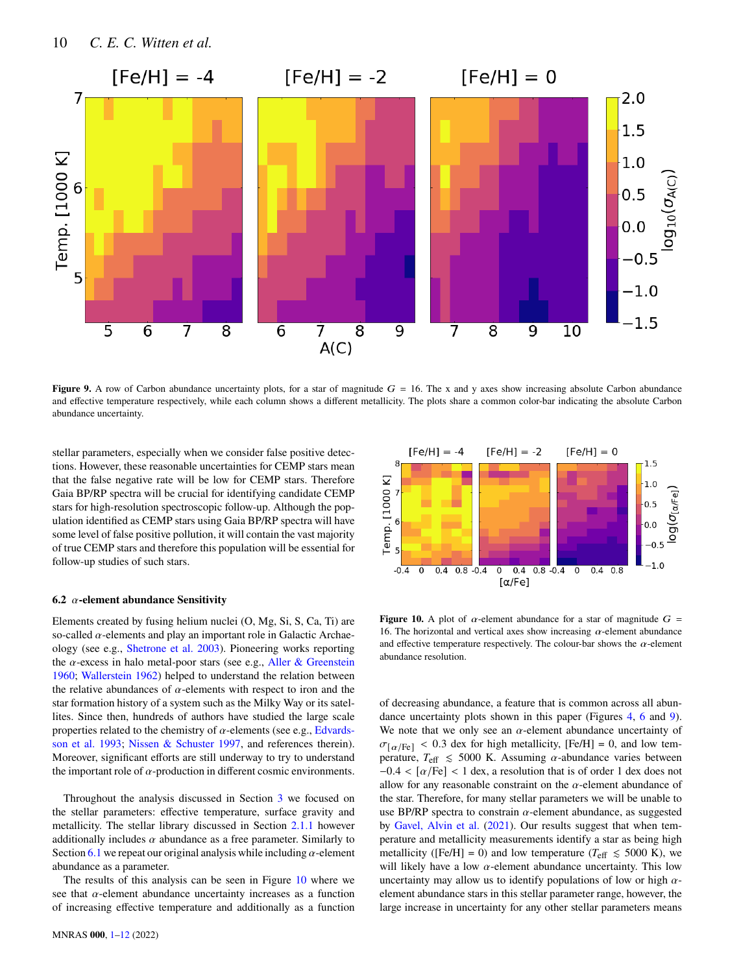

**Figure 9.** A row of Carbon abundance uncertainty plots, for a star of magnitude  $G = 16$ . The x and y axes show increasing absolute Carbon abundance and effective temperature respectively, while each column shows a different metallicity. The plots share a common color-bar indicating the absolute Carbon abundance uncertainty.

stellar parameters, especially when we consider false positive detections. However, these reasonable uncertainties for CEMP stars mean that the false negative rate will be low for CEMP stars. Therefore Gaia BP/RP spectra will be crucial for identifying candidate CEMP stars for high-resolution spectroscopic follow-up. Although the population identified as CEMP stars using Gaia BP/RP spectra will have some level of false positive pollution, it will contain the vast majority of true CEMP stars and therefore this population will be essential for follow-up studies of such stars.

# **6.2**  $\alpha$ -element abundance Sensitivity

Elements created by fusing helium nuclei (O, Mg, Si, S, Ca, Ti) are so-called  $\alpha$ -elements and play an important role in Galactic Archaeology (see e.g., [Shetrone et al.](#page-11-26) [2003\)](#page-11-26). Pioneering works reporting the  $\alpha$ -excess in halo metal-poor stars (see e.g., [Aller & Greenstein](#page-10-27) [1960;](#page-10-27) [Wallerstein](#page-11-27) [1962\)](#page-11-27) helped to understand the relation between the relative abundances of  $\alpha$ -elements with respect to iron and the star formation history of a system such as the Milky Way or its satellites. Since then, hundreds of authors have studied the large scale properties related to the chemistry of  $\alpha$ -elements (see e.g., [Edvards](#page-10-28)[son et al.](#page-10-28) [1993;](#page-10-28) [Nissen & Schuster](#page-11-28) [1997,](#page-11-28) and references therein). Moreover, significant efforts are still underway to try to understand the important role of  $\alpha$ -production in different cosmic environments.

Throughout the analysis discussed in Section [3](#page-2-0) we focused on the stellar parameters: effective temperature, surface gravity and metallicity. The stellar library discussed in Section [2.1.1](#page-1-5) however additionally includes  $\alpha$  abundance as a free parameter. Similarly to Section [6.1](#page-8-0) we repeat our original analysis while including  $\alpha$ -element abundance as a parameter.

The results of this analysis can be seen in Figure [10](#page-9-1) where we see that  $\alpha$ -element abundance uncertainty increases as a function of increasing effective temperature and additionally as a function

<span id="page-9-0"></span>

<span id="page-9-1"></span>**Figure 10.** A plot of  $\alpha$ -element abundance for a star of magnitude  $G =$ 16. The horizontal and vertical axes show increasing  $\alpha$ -element abundance and effective temperature respectively. The colour-bar shows the  $\alpha$ -element abundance resolution.

of decreasing abundance, a feature that is common across all abundance uncertainty plots shown in this paper (Figures [4,](#page-4-1) [6](#page-6-0) and [9\)](#page-9-0). We note that we only see an  $\alpha$ -element abundance uncertainty of  $\sigma_{\text{a/Fe}}$  < 0.3 dex for high metallicity, [Fe/H] = 0, and low temperature,  $T_{\text{eff}} \le 5000$  K. Assuming  $\alpha$ -abundance varies between  $-0.4 < [\alpha/\text{Fe}] < 1$  dex, a resolution that is of order 1 dex does not allow for any reasonable constraint on the  $\alpha$ -element abundance of the star. Therefore, for many stellar parameters we will be unable to use BP/RP spectra to constrain  $\alpha$ -element abundance, as suggested by [Gavel, Alvin et al.](#page-11-29) [\(2021\)](#page-11-29). Our results suggest that when temperature and metallicity measurements identify a star as being high metallicity ([Fe/H] = 0) and low temperature ( $T_{\text{eff}} \le 5000 \text{ K}$ ), we will likely have a low  $\alpha$ -element abundance uncertainty. This low uncertainty may allow us to identify populations of low or high  $\alpha$ element abundance stars in this stellar parameter range, however, the large increase in uncertainty for any other stellar parameters means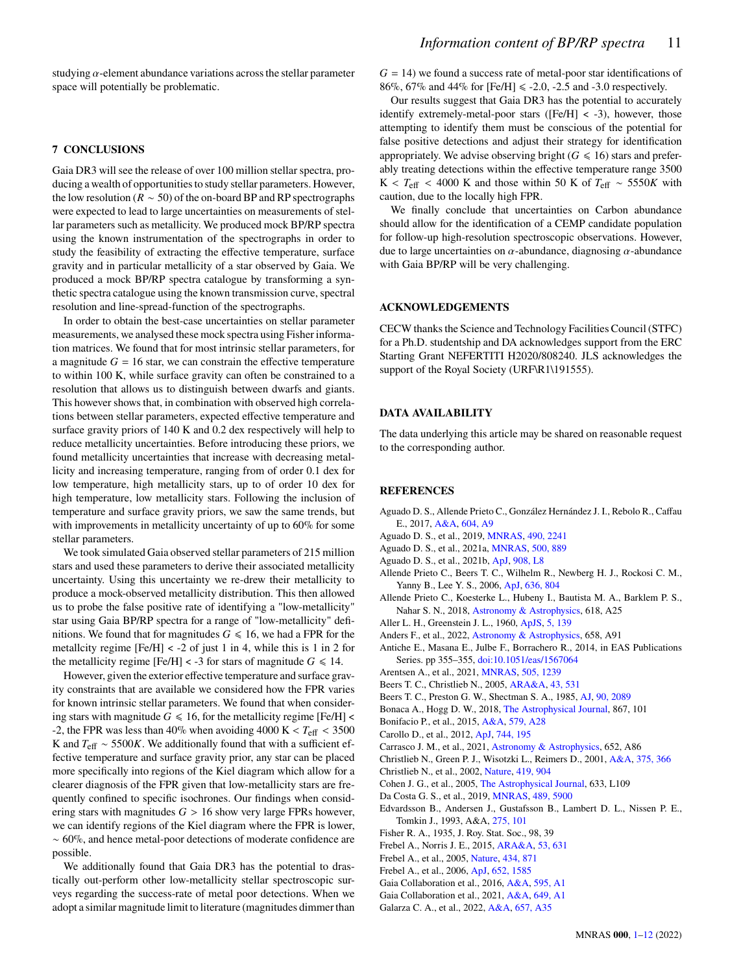studying  $\alpha$ -element abundance variations across the stellar parameter space will potentially be problematic.

# <span id="page-10-0"></span>**7 CONCLUSIONS**

Gaia DR3 will see the release of over 100 million stellar spectra, producing a wealth of opportunities to study stellar parameters. However, the low resolution ( $R \sim 50$ ) of the on-board BP and RP spectrographs were expected to lead to large uncertainties on measurements of stellar parameters such as metallicity. We produced mock BP/RP spectra using the known instrumentation of the spectrographs in order to study the feasibility of extracting the effective temperature, surface gravity and in particular metallicity of a star observed by Gaia. We produced a mock BP/RP spectra catalogue by transforming a synthetic spectra catalogue using the known transmission curve, spectral resolution and line-spread-function of the spectrographs.

In order to obtain the best-case uncertainties on stellar parameter measurements, we analysed these mock spectra using Fisher information matrices. We found that for most intrinsic stellar parameters, for a magnitude  $G = 16$  star, we can constrain the effective temperature to within 100 K, while surface gravity can often be constrained to a resolution that allows us to distinguish between dwarfs and giants. This however shows that, in combination with observed high correlations between stellar parameters, expected effective temperature and surface gravity priors of 140 K and 0.2 dex respectively will help to reduce metallicity uncertainties. Before introducing these priors, we found metallicity uncertainties that increase with decreasing metallicity and increasing temperature, ranging from of order 0.1 dex for low temperature, high metallicity stars, up to of order 10 dex for high temperature, low metallicity stars. Following the inclusion of temperature and surface gravity priors, we saw the same trends, but with improvements in metallicity uncertainty of up to 60% for some stellar parameters.

We took simulated Gaia observed stellar parameters of 215 million stars and used these parameters to derive their associated metallicity uncertainty. Using this uncertainty we re-drew their metallicity to produce a mock-observed metallicity distribution. This then allowed us to probe the false positive rate of identifying a "low-metallicity" star using Gaia BP/RP spectra for a range of "low-metallicity" definitions. We found that for magnitudes  $G \le 16$ , we had a FPR for the metallcity regime [Fe/H] < -2 of just 1 in 4, while this is 1 in 2 for the metallicity regime [Fe/H] < -3 for stars of magnitude  $G \le 14$ .

However, given the exterior effective temperature and surface gravity constraints that are available we considered how the FPR varies for known intrinsic stellar parameters. We found that when considering stars with magnitude  $G \le 16$ , for the metallicity regime [Fe/H] < -2, the FPR was less than 40% when avoiding 4000 K <  $T_{\text{eff}}$  < 3500 K and  $T_{\text{eff}} \sim 5500K$ . We additionally found that with a sufficient effective temperature and surface gravity prior, any star can be placed more specifically into regions of the Kiel diagram which allow for a clearer diagnosis of the FPR given that low-metallicity stars are frequently confined to specific isochrones. Our findings when considering stars with magnitudes  $G > 16$  show very large FPRs however, we can identify regions of the Kiel diagram where the FPR is lower, ∼ 60%, and hence metal-poor detections of moderate confidence are possible.

We additionally found that Gaia DR3 has the potential to drastically out-perform other low-metallicity stellar spectroscopic surveys regarding the success-rate of metal poor detections. When we adopt a similar magnitude limit to literature (magnitudes dimmer than  $G = 14$ ) we found a success rate of metal-poor star identifications of 86%, 67% and 44% for [Fe/H]  $\le$  -2.0, -2.5 and -3.0 respectively.

Our results suggest that Gaia DR3 has the potential to accurately identify extremely-metal-poor stars ([Fe/H] < -3), however, those attempting to identify them must be conscious of the potential for false positive detections and adjust their strategy for identification appropriately. We advise observing bright ( $G \le 16$ ) stars and preferably treating detections within the effective temperature range 3500 K <  $T_{\text{eff}}$  < 4000 K and those within 50 K of  $T_{\text{eff}} \sim 5550K$  with caution, due to the locally high FPR.

We finally conclude that uncertainties on Carbon abundance should allow for the identification of a CEMP candidate population for follow-up high-resolution spectroscopic observations. However, due to large uncertainties on  $\alpha$ -abundance, diagnosing  $\alpha$ -abundance with Gaia BP/RP will be very challenging.

## **ACKNOWLEDGEMENTS**

CECW thanks the Science and Technology Facilities Council (STFC) for a Ph.D. studentship and DA acknowledges support from the ERC Starting Grant NEFERTITI H2020/808240. JLS acknowledges the support of the Royal Society (URF\R1\191555).

# **DATA AVAILABILITY**

The data underlying this article may be shared on reasonable request to the corresponding author.

# **REFERENCES**

- <span id="page-10-7"></span>Aguado D. S., Allende Prieto C., González Hernández J. I., Rebolo R., Caffau E., 2017, [A&A,](http://dx.doi.org/10.1051/0004-6361/201731320) [604, A9](https://ui.adsabs.harvard.edu/abs/2017A&A...604A...9A)
- <span id="page-10-21"></span>Aguado D. S., et al., 2019, [MNRAS,](http://dx.doi.org/10.1093/mnras/stz2643) [490, 2241](https://ui.adsabs.harvard.edu/abs/2019MNRAS.490.2241A)
- <span id="page-10-8"></span>Aguado D. S., et al., 2021a, [MNRAS,](http://dx.doi.org/10.1093/mnras/staa3250) [500, 889](https://ui.adsabs.harvard.edu/abs/2021MNRAS.500..889A)
- <span id="page-10-9"></span>Aguado D. S., et al., 2021b, [ApJ,](http://dx.doi.org/10.3847/2041-8213/abdbb8) [908, L8](https://ui.adsabs.harvard.edu/abs/2021ApJ...908L...8A)
- <span id="page-10-10"></span>Allende Prieto C., Beers T. C., Wilhelm R., Newberg H. J., Rockosi C. M., Yanny B., Lee Y. S., 2006, [ApJ,](http://dx.doi.org/10.1086/498131) [636, 804](http://adsabs.harvard.edu/abs/2006ApJ...636..804A)
- <span id="page-10-6"></span>Allende Prieto C., Koesterke L., Hubeny I., Bautista M. A., Barklem P. S., Nahar S. N., 2018, [Astronomy & Astrophysics,](http://dx.doi.org/10.1051/0004-6361/201732484) 618, A25
- <span id="page-10-27"></span>Aller L. H., Greenstein J. L., 1960, [ApJS,](http://dx.doi.org/10.1086/190054) [5, 139](https://ui.adsabs.harvard.edu/abs/1960ApJS....5..139A)
- <span id="page-10-13"></span>Anders F., et al., 2022, [Astronomy & Astrophysics,](http://dx.doi.org/10.1051/0004-6361/202142369) 658, A91
- <span id="page-10-14"></span>Antiche E., Masana E., Julbe F., Borrachero R., 2014, in EAS Publications Series. pp 355–355, [doi:10.1051/eas/1567064](http://dx.doi.org/10.1051/eas/1567064)
- <span id="page-10-26"></span>Arentsen A., et al., 2021, [MNRAS,](http://dx.doi.org/10.1093/mnras/stab1343) [505, 1239](https://ui.adsabs.harvard.edu/abs/2021MNRAS.505.1239A)
- <span id="page-10-3"></span>Beers T. C., Christlieb N., 2005, [ARA&A,](http://dx.doi.org/10.1146/annurev.astro.42.053102.134057) [43, 531](https://ui.adsabs.harvard.edu/abs/2005ARA&A..43..531B)
- <span id="page-10-15"></span>Beers T. C., Preston G. W., Shectman S. A., 1985, [AJ,](http://dx.doi.org/10.1086/113917) [90, 2089](http://adsabs.harvard.edu/abs/1985AJ.....90.2089B)
- <span id="page-10-12"></span>Bonaca A., Hogg D. W., 2018, [The Astrophysical Journal,](http://dx.doi.org/10.3847/1538-4357/aae4da) 867, 101
- <span id="page-10-25"></span>Bonifacio P., et al., 2015, [A&A,](http://dx.doi.org/10.1051/0004-6361/201425266) [579, A28](https://ui.adsabs.harvard.edu/abs/2015A&A...579A..28B)
- <span id="page-10-5"></span>Carollo D., et al., 2012, [ApJ,](http://dx.doi.org/10.1088/0004-637X/744/2/195) [744, 195](https://ui.adsabs.harvard.edu/abs/2012ApJ...744..195C)
- <span id="page-10-2"></span>Carrasco J. M., et al., 2021, [Astronomy & Astrophysics,](http://dx.doi.org/10.1051/0004-6361/202141249) 652, A86
- <span id="page-10-16"></span>Christlieb N., Green P. J., Wisotzki L., Reimers D., 2001, [A&A,](http://dx.doi.org/10.1051/0004-6361:20010814) [375, 366](https://ui.adsabs.harvard.edu/abs/2001A&A...375..366C)
- <span id="page-10-18"></span>Christlieb N., et al., 2002, [Nature,](http://dx.doi.org/10.1038/nature01142) [419, 904](https://ui.adsabs.harvard.edu/abs/2002Natur.419..904C)
- <span id="page-10-24"></span>Cohen J. G., et al., 2005, [The Astrophysical Journal,](http://dx.doi.org/10.1086/498502) 633, L109
- <span id="page-10-20"></span>Da Costa G. S., et al., 2019, [MNRAS,](http://dx.doi.org/10.1093/mnras/stz2550) [489, 5900](https://ui.adsabs.harvard.edu/abs/2019MNRAS.489.5900D)
- <span id="page-10-28"></span>Edvardsson B., Andersen J., Gustafsson B., Lambert D. L., Nissen P. E., Tomkin J., 1993, A&A, [275, 101](https://ui.adsabs.harvard.edu/abs/1993A&A...275..101E)
- <span id="page-10-11"></span>Fisher R. A., 1935, J. Roy. Stat. Soc., 98, 39
- <span id="page-10-4"></span>Frebel A., Norris J. E., 2015, [ARA&A,](http://dx.doi.org/10.1146/annurev-astro-082214-122423) [53, 631](https://ui.adsabs.harvard.edu/abs/2015ARA&A..53..631F)
- <span id="page-10-19"></span>Frebel A., et al., 2005, [Nature,](http://dx.doi.org/10.1038/nature03455) [434, 871](http://adsabs.harvard.edu/abs/2005Natur.434..871F)
- <span id="page-10-17"></span>Frebel A., et al., 2006, [ApJ,](http://dx.doi.org/10.1086/508506) [652, 1585](http://adsabs.harvard.edu/abs/2006ApJ...652.1585F)
- <span id="page-10-1"></span>Gaia Collaboration et al., 2016, [A&A,](http://dx.doi.org/10.1051/0004-6361/201629272) [595, A1](https://ui.adsabs.harvard.edu/abs/2016A&A...595A...1G)
- <span id="page-10-23"></span>Gaia Collaboration et al., 2021, [A&A,](http://dx.doi.org/10.1051/0004-6361/202039657) [649, A1](https://ui.adsabs.harvard.edu/abs/2021A&A...649A...1G)
- <span id="page-10-22"></span>Galarza C. A., et al., 2022, [A&A,](http://dx.doi.org/10.1051/0004-6361/202141717) [657, A35](https://ui.adsabs.harvard.edu/abs/2022A&A...657A..35G)